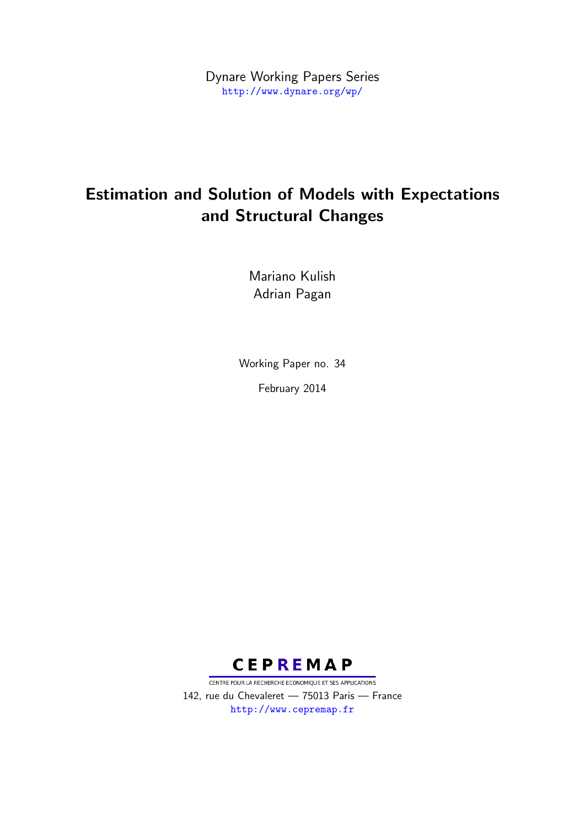Dynare Working Papers Series <http://www.dynare.org/wp/>

# Estimation and Solution of Models with Expectations and Structural Changes

Mariano Kulish Adrian Pagan

Working Paper no. 34 February 2014



CENTRE POUR LA RECHERCHE ECONOMIQUE ET SES APPLICATIONS 142, rue du Chevaleret — 75013 Paris — France <http://www.cepremap.fr>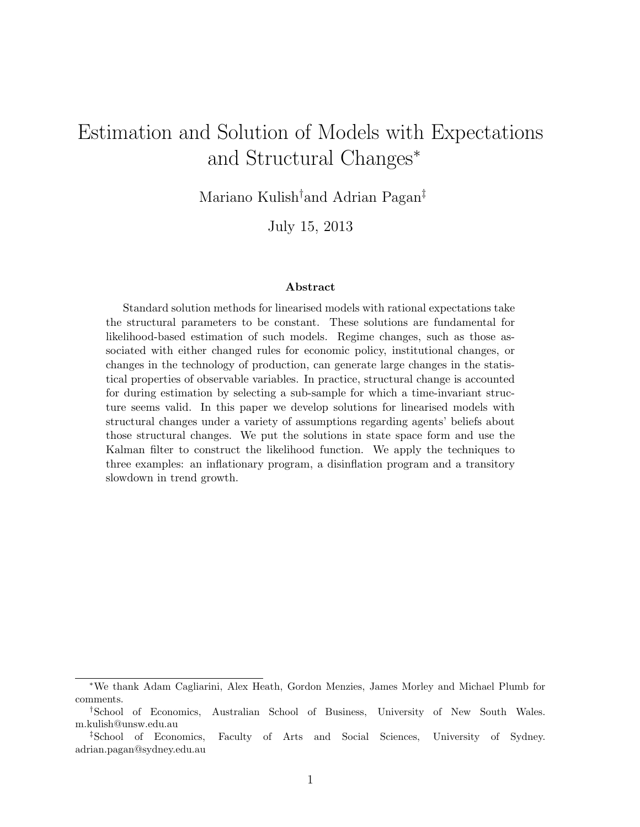# Estimation and Solution of Models with Expectations and Structural Changes<sup>∗</sup>

Mariano Kulish†and Adrian Pagan‡

July 15, 2013

#### Abstract

Standard solution methods for linearised models with rational expectations take the structural parameters to be constant. These solutions are fundamental for likelihood-based estimation of such models. Regime changes, such as those associated with either changed rules for economic policy, institutional changes, or changes in the technology of production, can generate large changes in the statistical properties of observable variables. In practice, structural change is accounted for during estimation by selecting a sub-sample for which a time-invariant structure seems valid. In this paper we develop solutions for linearised models with structural changes under a variety of assumptions regarding agents' beliefs about those structural changes. We put the solutions in state space form and use the Kalman filter to construct the likelihood function. We apply the techniques to three examples: an inflationary program, a disinflation program and a transitory slowdown in trend growth.

<sup>∗</sup>We thank Adam Cagliarini, Alex Heath, Gordon Menzies, James Morley and Michael Plumb for comments.

<sup>†</sup>School of Economics, Australian School of Business, University of New South Wales. m.kulish@unsw.edu.au

<sup>‡</sup>School of Economics, Faculty of Arts and Social Sciences, University of Sydney. adrian.pagan@sydney.edu.au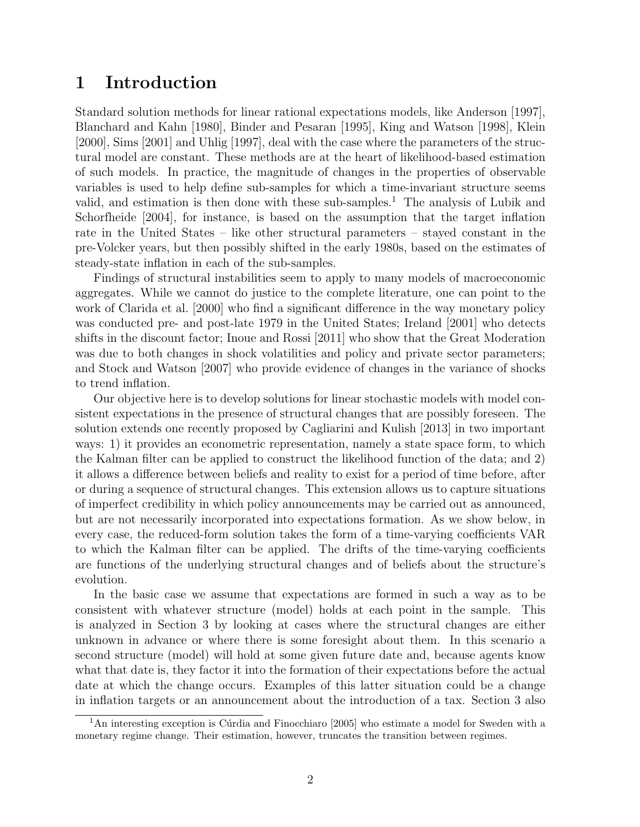## 1 Introduction

Standard solution methods for linear rational expectations models, like Anderson [1997], Blanchard and Kahn [1980], Binder and Pesaran [1995], King and Watson [1998], Klein [2000], Sims [2001] and Uhlig [1997], deal with the case where the parameters of the structural model are constant. These methods are at the heart of likelihood-based estimation of such models. In practice, the magnitude of changes in the properties of observable variables is used to help define sub-samples for which a time-invariant structure seems valid, and estimation is then done with these sub-samples.<sup>1</sup> The analysis of Lubik and Schorfheide [2004], for instance, is based on the assumption that the target inflation rate in the United States – like other structural parameters – stayed constant in the pre-Volcker years, but then possibly shifted in the early 1980s, based on the estimates of steady-state inflation in each of the sub-samples.

Findings of structural instabilities seem to apply to many models of macroeconomic aggregates. While we cannot do justice to the complete literature, one can point to the work of Clarida et al. [2000] who find a significant difference in the way monetary policy was conducted pre- and post-late 1979 in the United States; Ireland [2001] who detects shifts in the discount factor; Inoue and Rossi [2011] who show that the Great Moderation was due to both changes in shock volatilities and policy and private sector parameters; and Stock and Watson [2007] who provide evidence of changes in the variance of shocks to trend inflation.

Our objective here is to develop solutions for linear stochastic models with model consistent expectations in the presence of structural changes that are possibly foreseen. The solution extends one recently proposed by Cagliarini and Kulish [2013] in two important ways: 1) it provides an econometric representation, namely a state space form, to which the Kalman filter can be applied to construct the likelihood function of the data; and 2) it allows a difference between beliefs and reality to exist for a period of time before, after or during a sequence of structural changes. This extension allows us to capture situations of imperfect credibility in which policy announcements may be carried out as announced, but are not necessarily incorporated into expectations formation. As we show below, in every case, the reduced-form solution takes the form of a time-varying coefficients VAR to which the Kalman filter can be applied. The drifts of the time-varying coefficients are functions of the underlying structural changes and of beliefs about the structure's evolution.

In the basic case we assume that expectations are formed in such a way as to be consistent with whatever structure (model) holds at each point in the sample. This is analyzed in Section 3 by looking at cases where the structural changes are either unknown in advance or where there is some foresight about them. In this scenario a second structure (model) will hold at some given future date and, because agents know what that date is, they factor it into the formation of their expectations before the actual date at which the change occurs. Examples of this latter situation could be a change in inflation targets or an announcement about the introduction of a tax. Section 3 also

 $1<sup>1</sup>$ An interesting exception is Cúrdia and Finocchiaro [2005] who estimate a model for Sweden with a monetary regime change. Their estimation, however, truncates the transition between regimes.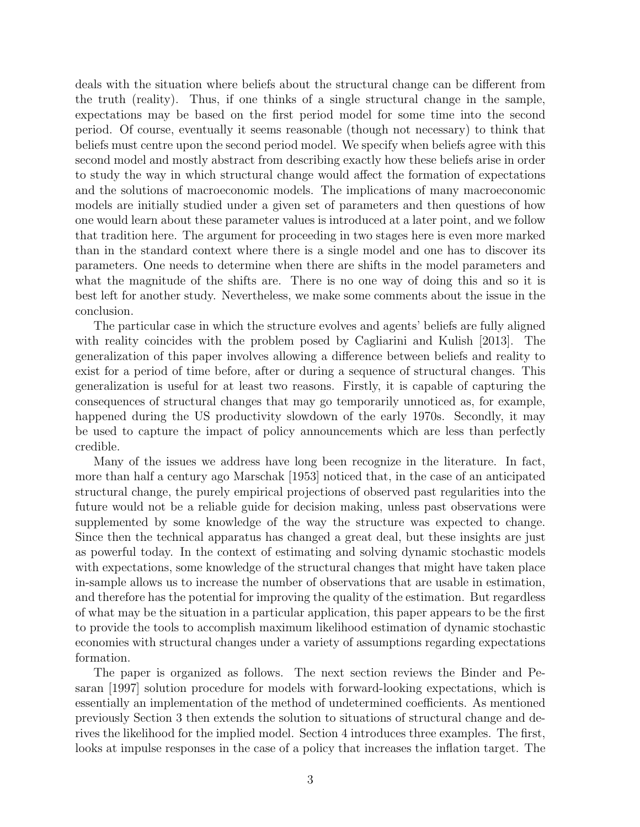deals with the situation where beliefs about the structural change can be different from the truth (reality). Thus, if one thinks of a single structural change in the sample, expectations may be based on the first period model for some time into the second period. Of course, eventually it seems reasonable (though not necessary) to think that beliefs must centre upon the second period model. We specify when beliefs agree with this second model and mostly abstract from describing exactly how these beliefs arise in order to study the way in which structural change would affect the formation of expectations and the solutions of macroeconomic models. The implications of many macroeconomic models are initially studied under a given set of parameters and then questions of how one would learn about these parameter values is introduced at a later point, and we follow that tradition here. The argument for proceeding in two stages here is even more marked than in the standard context where there is a single model and one has to discover its parameters. One needs to determine when there are shifts in the model parameters and what the magnitude of the shifts are. There is no one way of doing this and so it is best left for another study. Nevertheless, we make some comments about the issue in the conclusion.

The particular case in which the structure evolves and agents' beliefs are fully aligned with reality coincides with the problem posed by Cagliarini and Kulish [2013]. The generalization of this paper involves allowing a difference between beliefs and reality to exist for a period of time before, after or during a sequence of structural changes. This generalization is useful for at least two reasons. Firstly, it is capable of capturing the consequences of structural changes that may go temporarily unnoticed as, for example, happened during the US productivity slowdown of the early 1970s. Secondly, it may be used to capture the impact of policy announcements which are less than perfectly credible.

Many of the issues we address have long been recognize in the literature. In fact, more than half a century ago Marschak [1953] noticed that, in the case of an anticipated structural change, the purely empirical projections of observed past regularities into the future would not be a reliable guide for decision making, unless past observations were supplemented by some knowledge of the way the structure was expected to change. Since then the technical apparatus has changed a great deal, but these insights are just as powerful today. In the context of estimating and solving dynamic stochastic models with expectations, some knowledge of the structural changes that might have taken place in-sample allows us to increase the number of observations that are usable in estimation, and therefore has the potential for improving the quality of the estimation. But regardless of what may be the situation in a particular application, this paper appears to be the first to provide the tools to accomplish maximum likelihood estimation of dynamic stochastic economies with structural changes under a variety of assumptions regarding expectations formation.

The paper is organized as follows. The next section reviews the Binder and Pesaran [1997] solution procedure for models with forward-looking expectations, which is essentially an implementation of the method of undetermined coefficients. As mentioned previously Section 3 then extends the solution to situations of structural change and derives the likelihood for the implied model. Section 4 introduces three examples. The first, looks at impulse responses in the case of a policy that increases the inflation target. The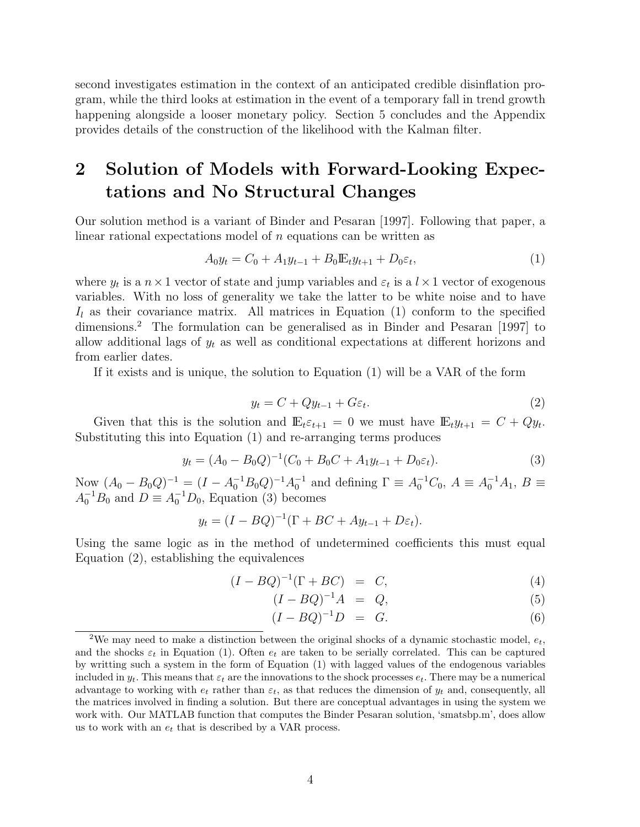second investigates estimation in the context of an anticipated credible disinflation program, while the third looks at estimation in the event of a temporary fall in trend growth happening alongside a looser monetary policy. Section 5 concludes and the Appendix provides details of the construction of the likelihood with the Kalman filter.

## 2 Solution of Models with Forward-Looking Expectations and No Structural Changes

Our solution method is a variant of Binder and Pesaran [1997]. Following that paper, a linear rational expectations model of n equations can be written as

$$
A_0 y_t = C_0 + A_1 y_{t-1} + B_0 \mathbb{E}_t y_{t+1} + D_0 \varepsilon_t, \tag{1}
$$

where  $y_t$  is a  $n \times 1$  vector of state and jump variables and  $\varepsilon_t$  is a  $l \times 1$  vector of exogenous variables. With no loss of generality we take the latter to be white noise and to have  $I_l$  as their covariance matrix. All matrices in Equation (1) conform to the specified dimensions.<sup>2</sup> The formulation can be generalised as in Binder and Pesaran [1997] to allow additional lags of  $y_t$  as well as conditional expectations at different horizons and from earlier dates.

If it exists and is unique, the solution to Equation (1) will be a VAR of the form

$$
y_t = C + Qy_{t-1} + G\varepsilon_t.
$$
\n<sup>(2)</sup>

Given that this is the solution and  $\mathbb{E}_t \varepsilon_{t+1} = 0$  we must have  $\mathbb{E}_t y_{t+1} = C + Q y_t$ . Substituting this into Equation (1) and re-arranging terms produces

$$
y_t = (A_0 - B_0 Q)^{-1} (C_0 + B_0 C + A_1 y_{t-1} + D_0 \varepsilon_t).
$$
\n(3)

Now  $(A_0 - B_0 Q)^{-1} = (I - A_0^{-1} B_0 Q)^{-1} A_0^{-1}$  and defining  $\Gamma \equiv A_0^{-1} C_0$ ,  $A \equiv A_0^{-1} A_1$ ,  $B \equiv$  $A_0^{-1}B_0$  and  $D \equiv A_0^{-1}D_0$ , Equation (3) becomes

$$
y_t = (I - BQ)^{-1}(\Gamma + BC + Ay_{t-1} + D\varepsilon_t).
$$

Using the same logic as in the method of undetermined coefficients this must equal Equation (2), establishing the equivalences

$$
(I - BQ)^{-1}(\Gamma + BC) = C,\t\t(4)
$$

$$
(I - BQ)^{-1}A = Q,\t\t(5)
$$

$$
(I - BQ)^{-1}D = G.
$$
\n
$$
(6)
$$

<sup>&</sup>lt;sup>2</sup>We may need to make a distinction between the original shocks of a dynamic stochastic model,  $e_t$ , and the shocks  $\varepsilon_t$  in Equation (1). Often  $e_t$  are taken to be serially correlated. This can be captured by writting such a system in the form of Equation (1) with lagged values of the endogenous variables included in  $y_t$ . This means that  $\varepsilon_t$  are the innovations to the shock processes  $e_t$ . There may be a numerical advantage to working with  $e_t$  rather than  $\varepsilon_t$ , as that reduces the dimension of  $y_t$  and, consequently, all the matrices involved in finding a solution. But there are conceptual advantages in using the system we work with. Our MATLAB function that computes the Binder Pesaran solution, 'smatsbp.m', does allow us to work with an  $e_t$  that is described by a VAR process.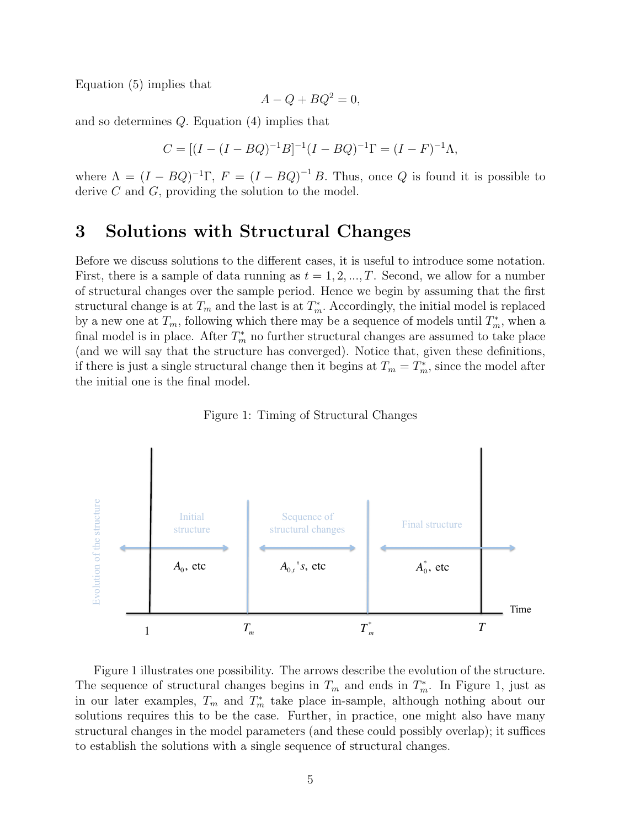Equation (5) implies that

$$
A - Q + BQ^2 = 0,
$$

and so determines Q. Equation (4) implies that

$$
C = [(I - (I - BQ)^{-1}B]^{-1}(I - BQ)^{-1}\Gamma = (I - F)^{-1}\Lambda,
$$

where  $\Lambda = (I - BQ)^{-1}\Gamma$ ,  $F = (I - BQ)^{-1}B$ . Thus, once Q is found it is possible to derive  $C$  and  $G$ , providing the solution to the model.

## 3 Solutions with Structural Changes

Before we discuss solutions to the different cases, it is useful to introduce some notation. First, there is a sample of data running as  $t = 1, 2, ..., T$ . Second, we allow for a number of structural changes over the sample period. Hence we begin by assuming that the first structural change is at  $T_m$  and the last is at  $T_m^*$ . Accordingly, the initial model is replaced by a new one at  $T_m$ , following which there may be a sequence of models until  $T_m^*$ , when a final model is in place. After  $T_m^*$  no further structural changes are assumed to take place (and we will say that the structure has converged). Notice that, given these definitions, if there is just a single structural change then it begins at  $T_m = T_m^*$ , since the model after the initial one is the final model.

Figure 1: Timing of Structural Changes



Figure 1 illustrates one possibility. The arrows describe the evolution of the structure. The sequence of structural changes begins in  $T_m$  and ends in  $T_m^*$ . In Figure 1, just as in our later examples,  $T_m$  and  $T_m^*$  take place in-sample, although nothing about our solutions requires this to be the case. Further, in practice, one might also have many structural changes in the model parameters (and these could possibly overlap); it suffices to establish the solutions with a single sequence of structural changes.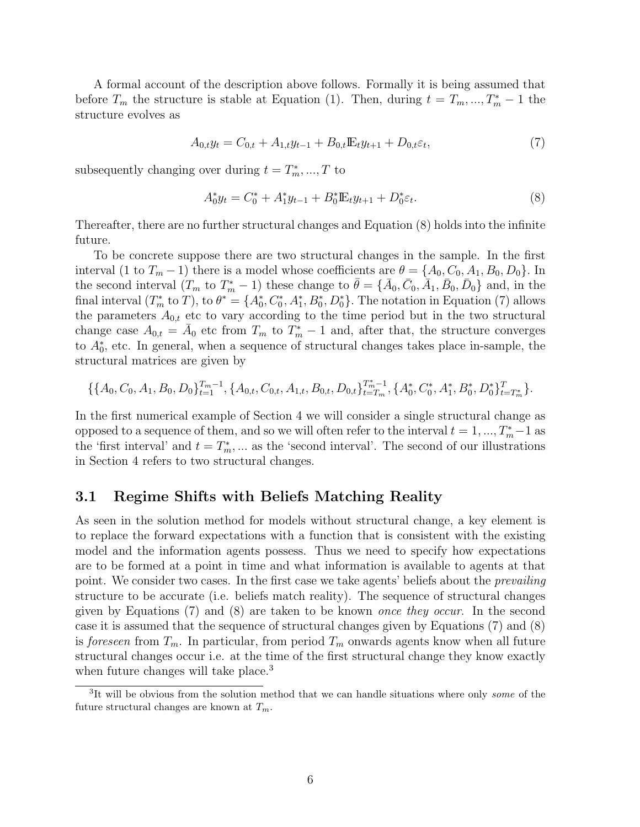A formal account of the description above follows. Formally it is being assumed that before  $T_m$  the structure is stable at Equation (1). Then, during  $t = T_m, ..., T_m^* - 1$  the structure evolves as

$$
A_{0,t}y_t = C_{0,t} + A_{1,t}y_{t-1} + B_{0,t}\mathbb{E}_t y_{t+1} + D_{0,t}\varepsilon_t,
$$
\n<sup>(7)</sup>

subsequently changing over during  $t = T_m^*, ..., T$  to

$$
A_0^* y_t = C_0^* + A_1^* y_{t-1} + B_0^* \mathbb{E}_t y_{t+1} + D_0^* \varepsilon_t.
$$
 (8)

Thereafter, there are no further structural changes and Equation (8) holds into the infinite future.

To be concrete suppose there are two structural changes in the sample. In the first interval (1 to  $T_m - 1$ ) there is a model whose coefficients are  $\theta = \{A_0, C_0, A_1, B_0, D_0\}$ . In the second interval  $(T_m$  to  $T_m^* - 1)$  these change to  $\bar{\theta} = \{\bar{A}_0, \bar{C}_0, \bar{A}_1, \bar{B}_0, \bar{D}_0\}$  and, in the final interval  $(T_m^*$  to T, to  $\theta^* = \{A_0^*, C_0^*, A_1^*, B_0^*, D_0^*\}$ . The notation in Equation (7) allows the parameters  $A_{0,t}$  etc to vary according to the time period but in the two structural change case  $A_{0,t} = \bar{A}_0$  etc from  $T_m$  to  $T_m^* - 1$  and, after that, the structure converges to  $A_0^*$ , etc. In general, when a sequence of structural changes takes place in-sample, the structural matrices are given by

$$
\{\{A_0, C_0, A_1, B_0, D_0\}_{t=1}^{T_m-1}, \{A_{0,t}, C_{0,t}, A_{1,t}, B_{0,t}, D_{0,t}\}_{t=T_m}^{T_m^*-1}, \{A_0^*, C_0^*, A_1^*, B_0^*, D_0^*\}_{t=T_m^*}^T\}.
$$

In the first numerical example of Section 4 we will consider a single structural change as opposed to a sequence of them, and so we will often refer to the interval  $t = 1, ..., T_m^* - 1$  as the 'first interval' and  $t = T_m^*$ , ... as the 'second interval'. The second of our illustrations in Section 4 refers to two structural changes.

#### 3.1 Regime Shifts with Beliefs Matching Reality

As seen in the solution method for models without structural change, a key element is to replace the forward expectations with a function that is consistent with the existing model and the information agents possess. Thus we need to specify how expectations are to be formed at a point in time and what information is available to agents at that point. We consider two cases. In the first case we take agents' beliefs about the prevailing structure to be accurate (i.e. beliefs match reality). The sequence of structural changes given by Equations (7) and (8) are taken to be known once they occur. In the second case it is assumed that the sequence of structural changes given by Equations (7) and (8) is foreseen from  $T_m$ . In particular, from period  $T_m$  onwards agents know when all future structural changes occur i.e. at the time of the first structural change they know exactly when future changes will take place.<sup>3</sup>

<sup>&</sup>lt;sup>3</sup>It will be obvious from the solution method that we can handle situations where only *some* of the future structural changes are known at  $T_m$ .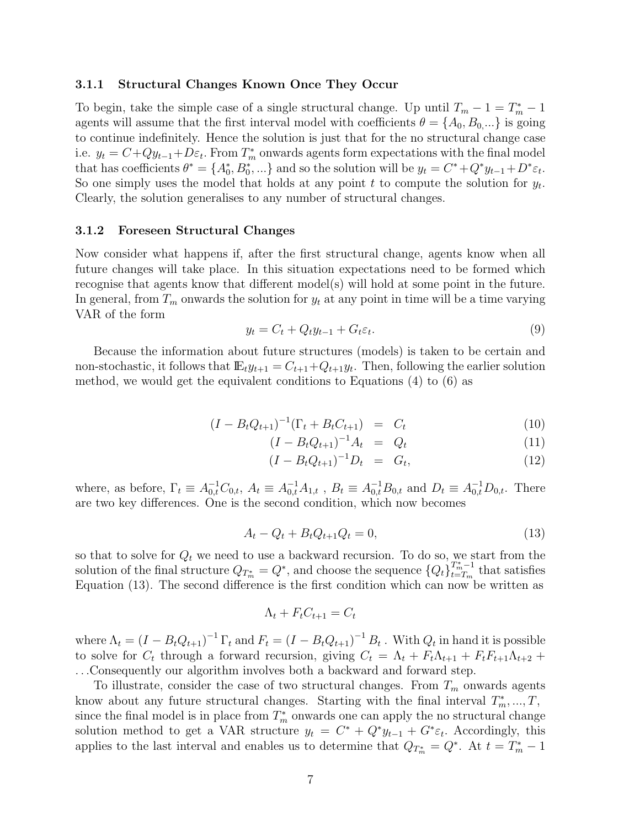#### 3.1.1 Structural Changes Known Once They Occur

To begin, take the simple case of a single structural change. Up until  $T_m - 1 = T_m^* - 1$ agents will assume that the first interval model with coefficients  $\theta = \{A_0, B_0, ...\}$  is going to continue indefinitely. Hence the solution is just that for the no structural change case i.e.  $y_t = C + Q y_{t-1} + D \varepsilon_t$ . From  $T_m^*$  onwards agents form expectations with the final model that has coefficients  $\theta^* = \{A_0^*, B_0^*, ...\}$  and so the solution will be  $y_t = C^* + Q^* y_{t-1} + D^* \varepsilon_t$ . So one simply uses the model that holds at any point t to compute the solution for  $y_t$ . Clearly, the solution generalises to any number of structural changes.

#### 3.1.2 Foreseen Structural Changes

Now consider what happens if, after the first structural change, agents know when all future changes will take place. In this situation expectations need to be formed which recognise that agents know that different model(s) will hold at some point in the future. In general, from  $T_m$  onwards the solution for  $y_t$  at any point in time will be a time varying VAR of the form

$$
y_t = C_t + Q_t y_{t-1} + G_t \varepsilon_t.
$$
\n
$$
(9)
$$

Because the information about future structures (models) is taken to be certain and non-stochastic, it follows that  $\mathbb{E}_t y_{t+1} = C_{t+1} + Q_{t+1}y_t$ . Then, following the earlier solution method, we would get the equivalent conditions to Equations (4) to (6) as

$$
(I - B_t Q_{t+1})^{-1} (\Gamma_t + B_t C_{t+1}) = C_t \tag{10}
$$

$$
(I - B_t Q_{t+1})^{-1} A_t = Q_t \tag{11}
$$

$$
(I - B_t Q_{t+1})^{-1} D_t = G_t, \t\t(12)
$$

where, as before,  $\Gamma_t \equiv A_{0,t}^{-1} C_{0,t}$ ,  $A_t \equiv A_{0,t}^{-1} A_{1,t}$ ,  $B_t \equiv A_{0,t}^{-1} B_{0,t}$  and  $D_t \equiv A_{0,t}^{-1} D_{0,t}$ . There are two key differences. One is the second condition, which now becomes

$$
A_t - Q_t + B_t Q_{t+1} Q_t = 0,
$$
\n(13)

so that to solve for  $Q_t$  we need to use a backward recursion. To do so, we start from the solution of the final structure  $Q_{T_m^*}=Q^*$ , and choose the sequence  ${Q_t}_{t=T_m}^{T_m^*-1}$  $t_{t=T_m}^{T_m-1}$  that satisfies Equation (13). The second difference is the first condition which can now be written as

$$
\Lambda_t + F_t C_{t+1} = C_t
$$

where  $\Lambda_t = (I - B_t Q_{t+1})^{-1} \Gamma_t$  and  $F_t = (I - B_t Q_{t+1})^{-1} B_t$ . With  $Q_t$  in hand it is possible to solve for  $C_t$  through a forward recursion, giving  $C_t = \Lambda_t + F_t \Lambda_{t+1} + F_t F_{t+1} \Lambda_{t+2}$ . . .Consequently our algorithm involves both a backward and forward step.

To illustrate, consider the case of two structural changes. From  $T_m$  onwards agents know about any future structural changes. Starting with the final interval  $T_m^*,...,T$ , since the final model is in place from  $T_m^*$  onwards one can apply the no structural change solution method to get a VAR structure  $y_t = C^* + Q^* y_{t-1} + G^* \varepsilon_t$ . Accordingly, this applies to the last interval and enables us to determine that  $Q_{T_m^*} = Q^*$ . At  $t = T_m^* - 1$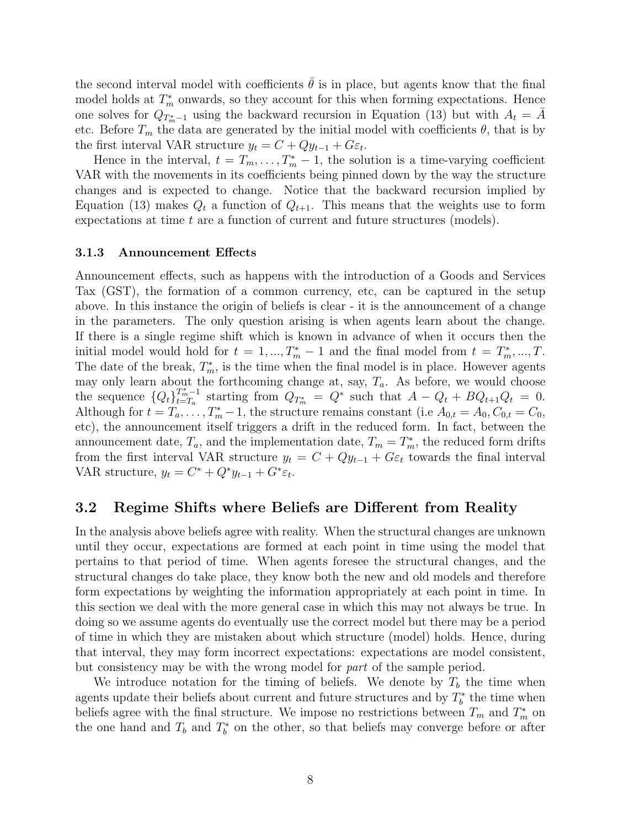the second interval model with coefficients  $\theta$  is in place, but agents know that the final model holds at  $T_m^*$  onwards, so they account for this when forming expectations. Hence one solves for  $Q_{T^*_{m-1}}$  using the backward recursion in Equation (13) but with  $A_t = A$ etc. Before  $T_m$  the data are generated by the initial model with coefficients  $\theta$ , that is by the first interval VAR structure  $y_t = C + Qy_{t-1} + G\varepsilon_t$ .

Hence in the interval,  $t = T_m, \ldots, T_m^* - 1$ , the solution is a time-varying coefficient VAR with the movements in its coefficients being pinned down by the way the structure changes and is expected to change. Notice that the backward recursion implied by Equation (13) makes  $Q_t$  a function of  $Q_{t+1}$ . This means that the weights use to form expectations at time t are a function of current and future structures (models).

#### 3.1.3 Announcement Effects

Announcement effects, such as happens with the introduction of a Goods and Services Tax (GST), the formation of a common currency, etc, can be captured in the setup above. In this instance the origin of beliefs is clear - it is the announcement of a change in the parameters. The only question arising is when agents learn about the change. If there is a single regime shift which is known in advance of when it occurs then the initial model would hold for  $t = 1, ..., T_m^* - 1$  and the final model from  $t = T_m^*, ..., T_m^*$ . The date of the break,  $T_m^*$ , is the time when the final model is in place. However agents may only learn about the forthcoming change at, say,  $T_a$ . As before, we would choose the sequence  $\{Q_t\}_{t=T_a}^{T_m^*-1}$  $t_{t=T_a}^{T_m^* - 1}$  starting from  $Q_{T_m^*} = Q^*$  such that  $A - Q_t + BQ_{t+1}Q_t = 0$ . Although for  $t = T_a, \ldots, T_m^* - 1$ , the structure remains constant (i.e  $A_{0,t} = A_0, C_{0,t} = C_0$ , etc), the announcement itself triggers a drift in the reduced form. In fact, between the announcement date,  $T_a$ , and the implementation date,  $T_m = T_m^*$ , the reduced form drifts from the first interval VAR structure  $y_t = C + Qy_{t-1} + G\varepsilon_t$  towards the final interval VAR structure,  $y_t = C^* + Q^* y_{t-1} + G^* \varepsilon_t$ .

#### 3.2 Regime Shifts where Beliefs are Different from Reality

In the analysis above beliefs agree with reality. When the structural changes are unknown until they occur, expectations are formed at each point in time using the model that pertains to that period of time. When agents foresee the structural changes, and the structural changes do take place, they know both the new and old models and therefore form expectations by weighting the information appropriately at each point in time. In this section we deal with the more general case in which this may not always be true. In doing so we assume agents do eventually use the correct model but there may be a period of time in which they are mistaken about which structure (model) holds. Hence, during that interval, they may form incorrect expectations: expectations are model consistent, but consistency may be with the wrong model for part of the sample period.

We introduce notation for the timing of beliefs. We denote by  $T_b$  the time when agents update their beliefs about current and future structures and by  $T_b^*$  the time when beliefs agree with the final structure. We impose no restrictions between  $T_m$  and  $T_m^*$  on the one hand and  $T_b$  and  $T_b^*$  on the other, so that beliefs may converge before or after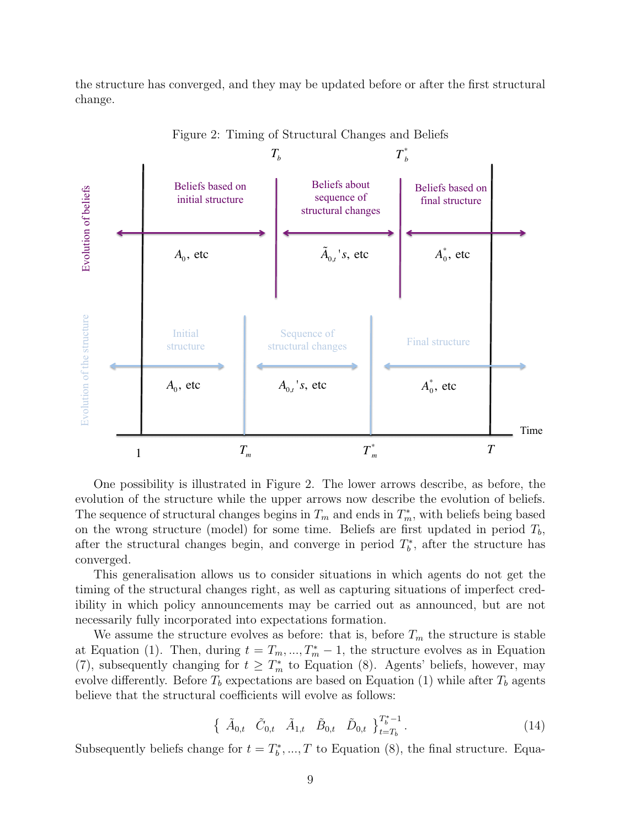the structure has converged, and they may be updated before or after the first structural change.



Figure 2: Timing of Structural Changes and Beliefs

One possibility is illustrated in Figure 2. The lower arrows describe, as before, the evolution of the structure while the upper arrows now describe the evolution of beliefs. The sequence of structural changes begins in  $T_m$  and ends in  $T_m^*$ , with beliefs being based on the wrong structure (model) for some time. Beliefs are first updated in period  $T_b$ , after the structural changes begin, and converge in period  $T_b^*$ , after the structure has converged.

This generalisation allows us to consider situations in which agents do not get the timing of the structural changes right, as well as capturing situations of imperfect credibility in which policy announcements may be carried out as announced, but are not necessarily fully incorporated into expectations formation.

We assume the structure evolves as before: that is, before  $T_m$  the structure is stable at Equation (1). Then, during  $t = T_m, ..., T_m^* - 1$ , the structure evolves as in Equation (7), subsequently changing for  $t \geq T_m^*$  to Equation (8). Agents' beliefs, however, may evolve differently. Before  $T_b$  expectations are based on Equation (1) while after  $T_b$  agents believe that the structural coefficients will evolve as follows:

$$
\left\{\ \tilde{A}_{0,t} \ \tilde{C}_{0,t} \ \tilde{A}_{1,t} \ \tilde{B}_{0,t} \ \tilde{D}_{0,t} \ \right\}_{t=T_b}^{T_b^* - 1} . \tag{14}
$$

Subsequently beliefs change for  $t = T_b^*, ..., T$  to Equation (8), the final structure. Equa-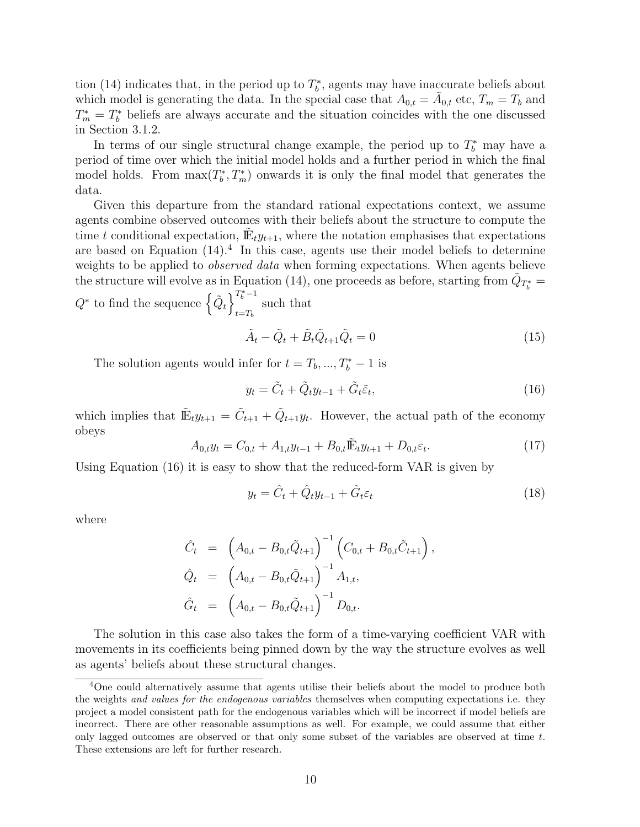tion (14) indicates that, in the period up to  $T_b^*$ , agents may have inaccurate beliefs about which model is generating the data. In the special case that  $A_{0,t} = \tilde{A}_{0,t}$  etc,  $T_m = T_b$  and  $T_m^* = T_b^*$  beliefs are always accurate and the situation coincides with the one discussed in Section 3.1.2.

In terms of our single structural change example, the period up to  $T_b^*$  may have a period of time over which the initial model holds and a further period in which the final model holds. From  $\max(T_b^*, T_m^*)$  onwards it is only the final model that generates the data.

Given this departure from the standard rational expectations context, we assume agents combine observed outcomes with their beliefs about the structure to compute the time t conditional expectation,  $\mathbb{E}_t y_{t+1}$ , where the notation emphasises that expectations are based on Equation  $(14)$ .<sup>4</sup> In this case, agents use their model beliefs to determine weights to be applied to *observed data* when forming expectations. When agents believe the structure will evolve as in Equation (14), one proceeds as before, starting from  $\tilde{Q}_{T_b^*}$  =  $\tilde{Q}_t\big\}^{T_b^*-1}$ 

$$
Q^*
$$
 to find the sequence  $\left\{\tilde{Q}_t\right\}_{t=T_b}^{T_b^* - 1}$  such that

$$
\tilde{A}_t - \tilde{Q}_t + \tilde{B}_t \tilde{Q}_{t+1} \tilde{Q}_t = 0
$$
\n(15)

The solution agents would infer for  $t = T_b, ..., T_b^* - 1$  is

$$
y_t = \tilde{C}_t + \tilde{Q}_t y_{t-1} + \tilde{G}_t \tilde{\varepsilon}_t, \tag{16}
$$

which implies that  $\mathbb{E}_t y_{t+1} = \tilde{C}_{t+1} + \tilde{Q}_{t+1} y_t$ . However, the actual path of the economy obeys

$$
A_{0,t}y_t = C_{0,t} + A_{1,t}y_{t-1} + B_{0,t}\tilde{\mathbb{E}}_t y_{t+1} + D_{0,t}\varepsilon_t.
$$
 (17)

Using Equation (16) it is easy to show that the reduced-form VAR is given by

$$
y_t = \hat{C}_t + \hat{Q}_t y_{t-1} + \hat{G}_t \varepsilon_t \tag{18}
$$

where

$$
\hat{C}_t = \left(A_{0,t} - B_{0,t}\tilde{Q}_{t+1}\right)^{-1} \left(C_{0,t} + B_{0,t}\tilde{C}_{t+1}\right),
$$
\n
$$
\hat{Q}_t = \left(A_{0,t} - B_{0,t}\tilde{Q}_{t+1}\right)^{-1} A_{1,t},
$$
\n
$$
\hat{G}_t = \left(A_{0,t} - B_{0,t}\tilde{Q}_{t+1}\right)^{-1} D_{0,t}.
$$

The solution in this case also takes the form of a time-varying coefficient VAR with movements in its coefficients being pinned down by the way the structure evolves as well as agents' beliefs about these structural changes.

<sup>&</sup>lt;sup>4</sup>One could alternatively assume that agents utilise their beliefs about the model to produce both the weights and values for the endogenous variables themselves when computing expectations i.e. they project a model consistent path for the endogenous variables which will be incorrect if model beliefs are incorrect. There are other reasonable assumptions as well. For example, we could assume that either only lagged outcomes are observed or that only some subset of the variables are observed at time t. These extensions are left for further research.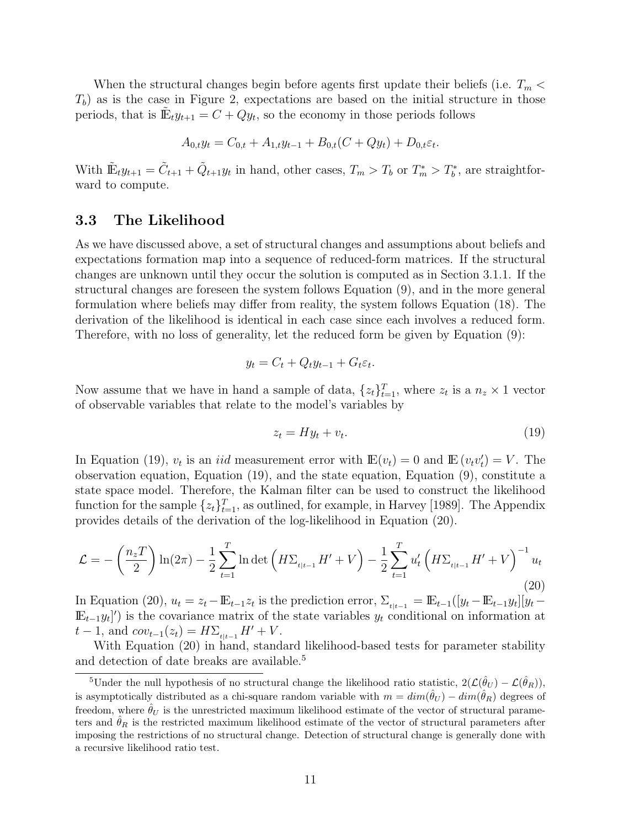When the structural changes begin before agents first update their beliefs (i.e.  $T_m$  <  $T<sub>b</sub>$ ) as is the case in Figure 2, expectations are based on the initial structure in those periods, that is  $\mathbb{E}_t y_{t+1} = C + Q y_t$ , so the economy in those periods follows

$$
A_{0,t}y_t = C_{0,t} + A_{1,t}y_{t-1} + B_{0,t}(C + Qy_t) + D_{0,t}\varepsilon_t.
$$

With  $\tilde{\mathbb{E}}_t y_{t+1} = \tilde{C}_{t+1} + \tilde{Q}_{t+1} y_t$  in hand, other cases,  $T_m > T_b$  or  $T_m^* > T_b^*$ , are straightforward to compute.

#### 3.3 The Likelihood

As we have discussed above, a set of structural changes and assumptions about beliefs and expectations formation map into a sequence of reduced-form matrices. If the structural changes are unknown until they occur the solution is computed as in Section 3.1.1. If the structural changes are foreseen the system follows Equation (9), and in the more general formulation where beliefs may differ from reality, the system follows Equation (18). The derivation of the likelihood is identical in each case since each involves a reduced form. Therefore, with no loss of generality, let the reduced form be given by Equation (9):

$$
y_t = C_t + Q_t y_{t-1} + G_t \varepsilon_t.
$$

Now assume that we have in hand a sample of data,  $\{z_t\}_{t=1}^T$ , where  $z_t$  is a  $n_z \times 1$  vector of observable variables that relate to the model's variables by

$$
z_t = Hy_t + v_t. \tag{19}
$$

In Equation (19),  $v_t$  is an *iid* measurement error with  $\mathbb{E}(v_t) = 0$  and  $\mathbb{E}(v_t v_t') = V$ . The observation equation, Equation (19), and the state equation, Equation (9), constitute a state space model. Therefore, the Kalman filter can be used to construct the likelihood function for the sample  $\{z_t\}_{t=1}^T$ , as outlined, for example, in Harvey [1989]. The Appendix provides details of the derivation of the log-likelihood in Equation (20).

$$
\mathcal{L} = -\left(\frac{n_z T}{2}\right) \ln(2\pi) - \frac{1}{2} \sum_{t=1}^T \ln \det \left(H \Sigma_{t|t-1} H' + V\right) - \frac{1}{2} \sum_{t=1}^T u'_t \left(H \Sigma_{t|t-1} H' + V\right)^{-1} u_t
$$
\n(20)

In Equation (20),  $u_t = z_t - \mathbb{E}_{t-1} z_t$  is the prediction error,  $\Sigma_{t|t-1} = \mathbb{E}_{t-1}([y_t - \mathbb{E}_{t-1} y_t][y_t - \mathbb{E}_{t-1} y_t])$  $\mathbb{E}_{t-1}y_t$ ') is the covariance matrix of the state variables  $y_t$  conditional on information at  $t-1$ , and  $cov_{t-1}(z_t) = H\Sigma_{t|t-1} H' + V$ .

With Equation (20) in hand, standard likelihood-based tests for parameter stability and detection of date breaks are available.<sup>5</sup>

<sup>&</sup>lt;sup>5</sup>Under the null hypothesis of no structural change the likelihood ratio statistic,  $2(\mathcal{L}(\hat{\theta}_U) - \mathcal{L}(\hat{\theta}_R))$ , is asymptotically distributed as a chi-square random variable with  $m = dim(\hat{\theta}_U) - dim(\hat{\theta}_R)$  degrees of freedom, where  $\hat{\theta}_U$  is the unrestricted maximum likelihood estimate of the vector of structural parameters and  $\hat{\theta}_R$  is the restricted maximum likelihood estimate of the vector of structural parameters after imposing the restrictions of no structural change. Detection of structural change is generally done with a recursive likelihood ratio test.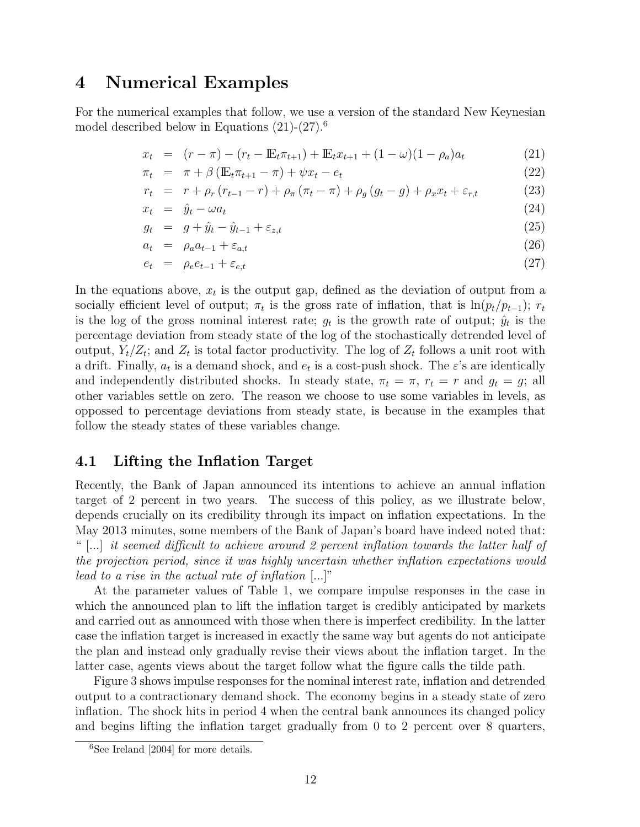### 4 Numerical Examples

For the numerical examples that follow, we use a version of the standard New Keynesian model described below in Equations  $(21)-(27)$ .<sup>6</sup>

$$
x_t = (r - \pi) - (r_t - \mathbb{E}_t \pi_{t+1}) + \mathbb{E}_t x_{t+1} + (1 - \omega)(1 - \rho_a) a_t \tag{21}
$$

$$
\pi_t = \pi + \beta \left( \mathbb{E}_t \pi_{t+1} - \pi \right) + \psi x_t - e_t \tag{22}
$$

$$
r_{t} = r + \rho_{r} (r_{t-1} - r) + \rho_{\pi} (\pi_{t} - \pi) + \rho_{g} (g_{t} - g) + \rho_{x} x_{t} + \varepsilon_{r,t}
$$
(23)

$$
x_t = \hat{y}_t - \omega a_t \tag{24}
$$

$$
g_t = g + \hat{y}_t - \hat{y}_{t-1} + \varepsilon_{z,t} \tag{25}
$$

$$
a_t = \rho_a a_{t-1} + \varepsilon_{a,t} \tag{26}
$$

$$
e_t = \rho_e e_{t-1} + \varepsilon_{e,t} \tag{27}
$$

In the equations above,  $x_t$  is the output gap, defined as the deviation of output from a socially efficient level of output;  $\pi_t$  is the gross rate of inflation, that is  $\ln(p_t/p_{t-1}); r_t$ is the log of the gross nominal interest rate;  $g_t$  is the growth rate of output;  $\hat{y}_t$  is the percentage deviation from steady state of the log of the stochastically detrended level of output,  $Y_t/Z_t$ ; and  $Z_t$  is total factor productivity. The log of  $Z_t$  follows a unit root with a drift. Finally,  $a_t$  is a demand shock, and  $e_t$  is a cost-push shock. The  $\varepsilon$ 's are identically and independently distributed shocks. In steady state,  $\pi_t = \pi$ ,  $r_t = r$  and  $g_t = g$ ; all other variables settle on zero. The reason we choose to use some variables in levels, as oppossed to percentage deviations from steady state, is because in the examples that follow the steady states of these variables change.

#### 4.1 Lifting the Inflation Target

Recently, the Bank of Japan announced its intentions to achieve an annual inflation target of 2 percent in two years. The success of this policy, as we illustrate below, depends crucially on its credibility through its impact on inflation expectations. In the May 2013 minutes, some members of the Bank of Japan's board have indeed noted that: " [...] it seemed difficult to achieve around 2 percent inflation towards the latter half of the projection period, since it was highly uncertain whether inflation expectations would lead to a rise in the actual rate of inflation [...]"

At the parameter values of Table 1, we compare impulse responses in the case in which the announced plan to lift the inflation target is credibly anticipated by markets and carried out as announced with those when there is imperfect credibility. In the latter case the inflation target is increased in exactly the same way but agents do not anticipate the plan and instead only gradually revise their views about the inflation target. In the latter case, agents views about the target follow what the figure calls the tilde path.

Figure 3 shows impulse responses for the nominal interest rate, inflation and detrended output to a contractionary demand shock. The economy begins in a steady state of zero inflation. The shock hits in period 4 when the central bank announces its changed policy and begins lifting the inflation target gradually from 0 to 2 percent over 8 quarters,

<sup>6</sup>See Ireland [2004] for more details.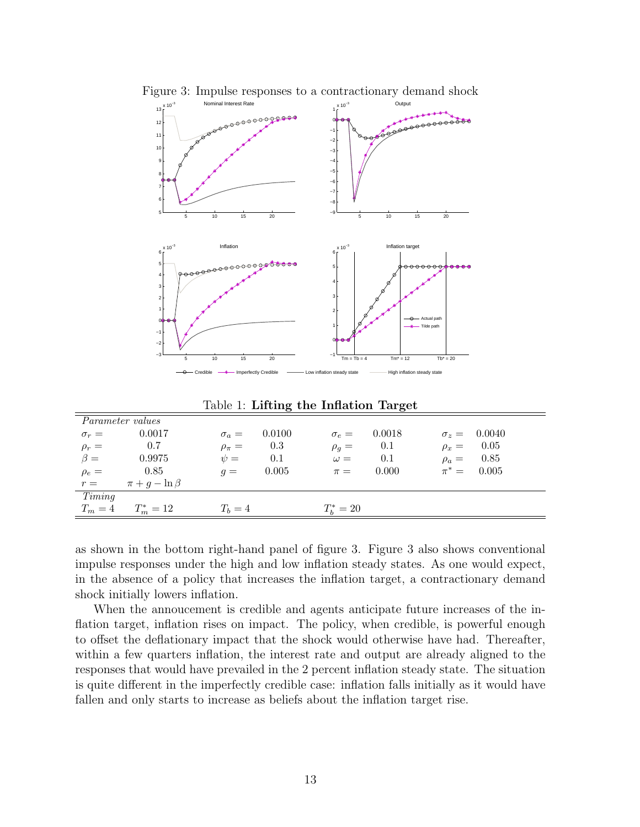

Figure 3: Impulse responses to a contractionary demand shock

Table 1: Lifting the Inflation Target

|              | <i>Parameter values</i> |                        |                |        |                            |
|--------------|-------------------------|------------------------|----------------|--------|----------------------------|
| $\sigma_r =$ | 0.0017                  | 0.0100<br>$\sigma_a =$ | $\sigma_e =$   | 0.0018 | $\sigma_{\gamma} = 0.0040$ |
| $\rho_r =$   | 0.7                     | 0.3<br>$\rho_{\pi} =$  | $\rho_q =$     | 0.1    | 0.05<br>$\rho_x =$         |
| $\beta =$    | 0.9975                  | 0.1<br>$\psi =$        | $\omega =$     | 0.1    | 0.85<br>$\rho_a =$         |
| $\rho_e =$   | 0.85                    | 0.005<br>$q =$         | $\pi =$        | 0.000  | $\pi^* = 0.005$            |
| $r =$        | $\pi + g - \ln \beta$   |                        |                |        |                            |
| Timing       |                         |                        |                |        |                            |
| $T_m=4$      | $T_m^* = 12$            | $T_b=4$                | $T_{h}^{*}=20$ |        |                            |

as shown in the bottom right-hand panel of figure 3. Figure 3 also shows conventional impulse responses under the high and low inflation steady states. As one would expect, in the absence of a policy that increases the inflation target, a contractionary demand shock initially lowers inflation.

When the annoucement is credible and agents anticipate future increases of the inflation target, inflation rises on impact. The policy, when credible, is powerful enough to offset the deflationary impact that the shock would otherwise have had. Thereafter, within a few quarters inflation, the interest rate and output are already aligned to the responses that would have prevailed in the 2 percent inflation steady state. The situation is quite different in the imperfectly credible case: inflation falls initially as it would have fallen and only starts to increase as beliefs about the inflation target rise.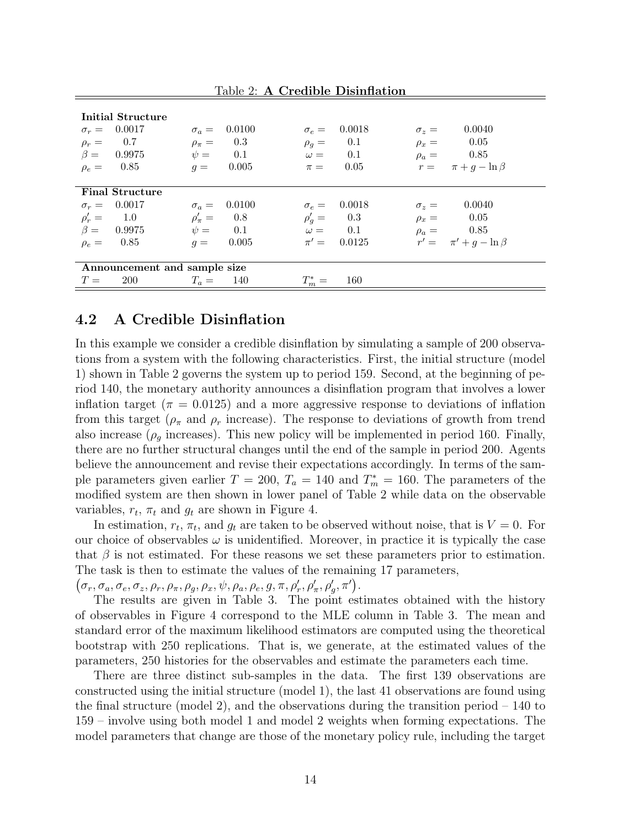| Initial Structure<br>$\sigma_r = 0.0017$<br>$\rho_r = 0.7$<br>$\beta = 0.9975$<br>$\rho_e = 0.85$ | 0.0100<br>$\sigma_a =$<br>$\rho_{\pi} = 0.3$<br>$\psi = 0.1$<br>$q = 0.005$ | 0.0018<br>$\sigma_e =$<br>$\rho_g = 0.1$<br>$\omega = 0.1$<br>$\pi = 0.05$ | 0.0040<br>$\sigma_z =$<br>$\rho_x = 0.05$<br>$\rho_a = 0.85$<br>$r = \pi + g - \ln \beta$ |  |
|---------------------------------------------------------------------------------------------------|-----------------------------------------------------------------------------|----------------------------------------------------------------------------|-------------------------------------------------------------------------------------------|--|
| <b>Final Structure</b>                                                                            |                                                                             |                                                                            |                                                                                           |  |
| $\sigma_r = 0.0017$                                                                               | $\sigma_a = 0.0100$                                                         | $\sigma_e = 0.0018$                                                        | 0.0040<br>$\sigma_z =$                                                                    |  |
| $\rho_r' = 1.0$                                                                                   | $\rho'_\pi = \qquad 0.8$                                                    | $\rho'_g = 0.3$                                                            | $\rho_x = 0.05$                                                                           |  |
| $\beta =$<br>0.9975                                                                               | $\psi = 0.1$                                                                | $\omega = 0.1$                                                             | $\rho_a = 0.85$                                                                           |  |
| $\rho_e = 0.85$                                                                                   | $q =$<br>0.005                                                              | $\pi' = 0.0125$                                                            | $r' = \pi' + g - \ln \beta$                                                               |  |
| Announcement and sample size                                                                      |                                                                             |                                                                            |                                                                                           |  |
|                                                                                                   |                                                                             |                                                                            |                                                                                           |  |
| 200<br>$T =$                                                                                      | $T_a = 140$                                                                 | 160<br>$T_m^* =$                                                           |                                                                                           |  |

Table 2: A Credible Disinflation

#### 4.2 A Credible Disinflation

In this example we consider a credible disinflation by simulating a sample of 200 observations from a system with the following characteristics. First, the initial structure (model 1) shown in Table 2 governs the system up to period 159. Second, at the beginning of period 140, the monetary authority announces a disinflation program that involves a lower inflation target ( $\pi = 0.0125$ ) and a more aggressive response to deviations of inflation from this target ( $\rho_{\pi}$  and  $\rho_{r}$  increase). The response to deviations of growth from trend also increase ( $\rho<sub>q</sub>$  increases). This new policy will be implemented in period 160. Finally, there are no further structural changes until the end of the sample in period 200. Agents believe the announcement and revise their expectations accordingly. In terms of the sample parameters given earlier  $T = 200$ ,  $T_a = 140$  and  $T_m^* = 160$ . The parameters of the modified system are then shown in lower panel of Table 2 while data on the observable variables,  $r_t$ ,  $\pi_t$  and  $g_t$  are shown in Figure 4.

In estimation,  $r_t$ ,  $\pi_t$ , and  $g_t$  are taken to be observed without noise, that is  $V = 0$ . For our choice of observables  $\omega$  is unidentified. Moreover, in practice it is typically the case that  $\beta$  is not estimated. For these reasons we set these parameters prior to estimation. The task is then to estimate the values of the remaining 17 parameters,

 $(\sigma_r, \sigma_a, \sigma_e, \sigma_z, \rho_r, \rho_\pi, \rho_g, \rho_x, \psi, \rho_a, \rho_e, g, \pi, \rho'_r, \rho'_\pi, \rho'_g, \pi').$ 

The results are given in Table 3. The point estimates obtained with the history of observables in Figure 4 correspond to the MLE column in Table 3. The mean and standard error of the maximum likelihood estimators are computed using the theoretical bootstrap with 250 replications. That is, we generate, at the estimated values of the parameters, 250 histories for the observables and estimate the parameters each time.

There are three distinct sub-samples in the data. The first 139 observations are constructed using the initial structure (model 1), the last 41 observations are found using the final structure (model 2), and the observations during the transition period  $-140$  to 159 – involve using both model 1 and model 2 weights when forming expectations. The model parameters that change are those of the monetary policy rule, including the target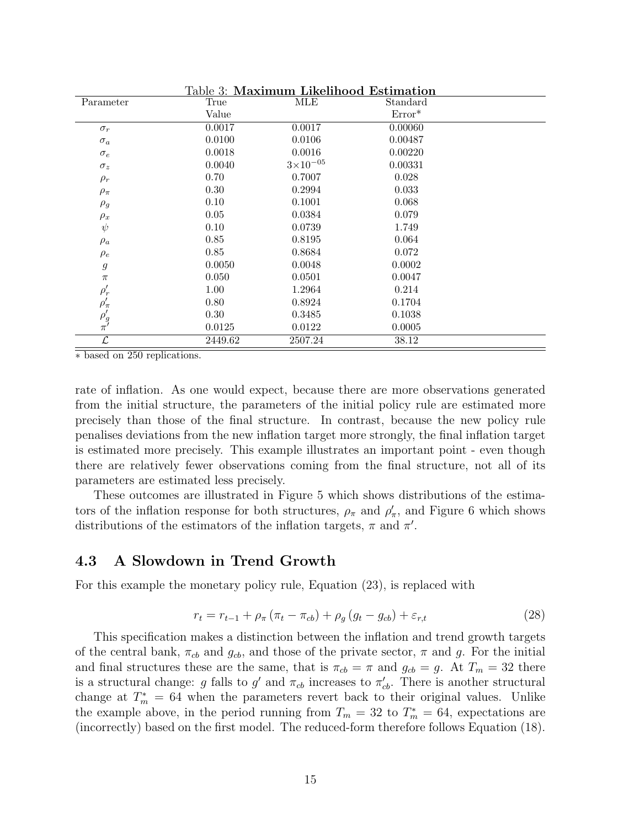|                                     |         | Table 3: Maximum Likelinood Estimation |          |  |
|-------------------------------------|---------|----------------------------------------|----------|--|
| Parameter                           | True    | MLE                                    | Standard |  |
|                                     | Value   |                                        | $Error*$ |  |
| $\sigma_r$                          | 0.0017  | 0.0017                                 | 0.00060  |  |
| $\sigma_a$                          | 0.0100  | 0.0106                                 | 0.00487  |  |
| $\sigma_e$                          | 0.0018  | 0.0016                                 | 0.00220  |  |
| $\sigma_z$                          | 0.0040  | $3 \times 10^{-05}$                    | 0.00331  |  |
| $\rho_r$                            | 0.70    | 0.7007                                 | 0.028    |  |
| $\rho_{\pi}$                        | 0.30    | 0.2994                                 | 0.033    |  |
| $\rho_g$                            | 0.10    | 0.1001                                 | 0.068    |  |
| $\rho_x$                            | 0.05    | 0.0384                                 | 0.079    |  |
| $\psi$                              | 0.10    | 0.0739                                 | 1.749    |  |
| $\rho_a$                            | 0.85    | 0.8195                                 | 0.064    |  |
| $\rho_e$                            | 0.85    | 0.8684                                 | 0.072    |  |
| $\boldsymbol{g}$                    | 0.0050  | 0.0048                                 | 0.0002   |  |
| $\pi$                               | 0.050   | 0.0501                                 | 0.0047   |  |
| $\rho'_r$                           | 1.00    | 1.2964                                 | 0.214    |  |
| $\rho'_\pi$                         | 0.80    | 0.8924                                 | 0.1704   |  |
| $\rho'_g$                           | 0.30    | 0.3485                                 | 0.1038   |  |
| $\pi'$                              | 0.0125  | 0.0122                                 | 0.0005   |  |
| $\mathcal{L}% _{G}=\mathcal{L}_{G}$ | 2449.62 | 2507.24                                | 38.12    |  |

Table 3: Maximum Likelihood Estimation

∗ based on 250 replications.

rate of inflation. As one would expect, because there are more observations generated from the initial structure, the parameters of the initial policy rule are estimated more precisely than those of the final structure. In contrast, because the new policy rule penalises deviations from the new inflation target more strongly, the final inflation target is estimated more precisely. This example illustrates an important point - even though there are relatively fewer observations coming from the final structure, not all of its parameters are estimated less precisely.

These outcomes are illustrated in Figure 5 which shows distributions of the estimators of the inflation response for both structures,  $\rho_{\pi}$  and  $\rho'_{\pi}$ , and Figure 6 which shows distributions of the estimators of the inflation targets,  $\pi$  and  $\pi'$ .

#### 4.3 A Slowdown in Trend Growth

For this example the monetary policy rule, Equation (23), is replaced with

$$
r_{t} = r_{t-1} + \rho_{\pi} (\pi_{t} - \pi_{cb}) + \rho_{g} (g_{t} - g_{cb}) + \varepsilon_{r,t}
$$
\n(28)

This specification makes a distinction between the inflation and trend growth targets of the central bank,  $\pi_{cb}$  and  $g_{cb}$ , and those of the private sector,  $\pi$  and g. For the initial and final structures these are the same, that is  $\pi_{cb} = \pi$  and  $g_{cb} = g$ . At  $T_m = 32$  there is a structural change: g falls to g' and  $\pi_{cb}$  increases to  $\pi'_{cb}$ . There is another structural change at  $T_m^* = 64$  when the parameters revert back to their original values. Unlike the example above, in the period running from  $T_m = 32$  to  $T_m^* = 64$ , expectations are (incorrectly) based on the first model. The reduced-form therefore follows Equation (18).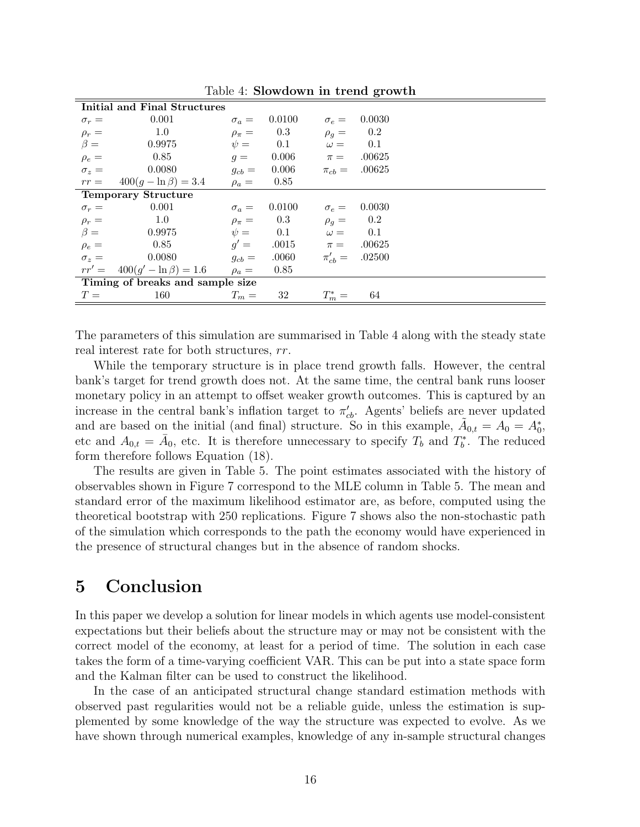|                                     | 0                           |                    |              |                |         |  |
|-------------------------------------|-----------------------------|--------------------|--------------|----------------|---------|--|
| <b>Initial and Final Structures</b> |                             |                    |              |                |         |  |
| $\sigma_r =$                        | 0.001                       | $\sigma_a =$       | 0.0100       | $\sigma_e =$   | 0.0030  |  |
| $\rho_r =$                          | $1.0\,$                     | $\rho_{\pi} =$     | 0.3          | $\rho_q =$     | $0.2\,$ |  |
| $\beta =$                           | 0.9975                      |                    | $\psi = 0.1$ | $\omega = 0.1$ |         |  |
| $\rho_e =$                          | 0.85                        | $g =$              | 0.006        | $\pi =$        | .00625  |  |
| $\sigma_z =$                        | 0.0080                      | $g_{cb} =$         | 0.006        | $\pi_{cb} =$   | .00625  |  |
| $rr =$                              | $400(g - \ln \beta) = 3.4$  | $\rho_a =$         | 0.85         |                |         |  |
|                                     | <b>Temporary Structure</b>  |                    |              |                |         |  |
| $\sigma_r =$                        | 0.001                       | $\sigma_a =$       | 0.0100       | $\sigma_e =$   | 0.0030  |  |
| $\rho_r =$                          | $1.0\,$                     | $\rho_{\pi} = 0.3$ |              | $\rho_g =$     | 0.2     |  |
| $\beta =$                           | 0.9975                      | $\psi = 0.1$       |              | $\omega =$     | 0.1     |  |
| $\rho_e =$                          | 0.85                        | $q' =$             | .0015        | $\pi =$        | .00625  |  |
| $\sigma_z =$                        | 0.0080                      | $g_{cb} =$         | .0060        | $\pi'_{ch} =$  | .02500  |  |
| $rr' =$                             | $400(g' - \ln \beta) = 1.6$ | $\rho_a =$         | 0.85         |                |         |  |
| Timing of breaks and sample size    |                             |                    |              |                |         |  |
| $T =$                               | 160                         | $T_m =$            | 32           | $T_m^* =$      | 64      |  |
|                                     |                             |                    |              |                |         |  |

Table 4: Slowdown in trend growth

The parameters of this simulation are summarised in Table 4 along with the steady state real interest rate for both structures, rr.

While the temporary structure is in place trend growth falls. However, the central bank's target for trend growth does not. At the same time, the central bank runs looser monetary policy in an attempt to offset weaker growth outcomes. This is captured by an increase in the central bank's inflation target to  $\pi'_{cb}$ . Agents' beliefs are never updated and are based on the initial (and final) structure. So in this example,  $\tilde{A}_{0,t} = A_0 = A_0^*$ , etc and  $A_{0,t} = \bar{A}_0$ , etc. It is therefore unnecessary to specify  $T_b$  and  $T_b^*$ . The reduced form therefore follows Equation (18).

The results are given in Table 5. The point estimates associated with the history of observables shown in Figure 7 correspond to the MLE column in Table 5. The mean and standard error of the maximum likelihood estimator are, as before, computed using the theoretical bootstrap with 250 replications. Figure 7 shows also the non-stochastic path of the simulation which corresponds to the path the economy would have experienced in the presence of structural changes but in the absence of random shocks.

## 5 Conclusion

In this paper we develop a solution for linear models in which agents use model-consistent expectations but their beliefs about the structure may or may not be consistent with the correct model of the economy, at least for a period of time. The solution in each case takes the form of a time-varying coefficient VAR. This can be put into a state space form and the Kalman filter can be used to construct the likelihood.

In the case of an anticipated structural change standard estimation methods with observed past regularities would not be a reliable guide, unless the estimation is supplemented by some knowledge of the way the structure was expected to evolve. As we have shown through numerical examples, knowledge of any in-sample structural changes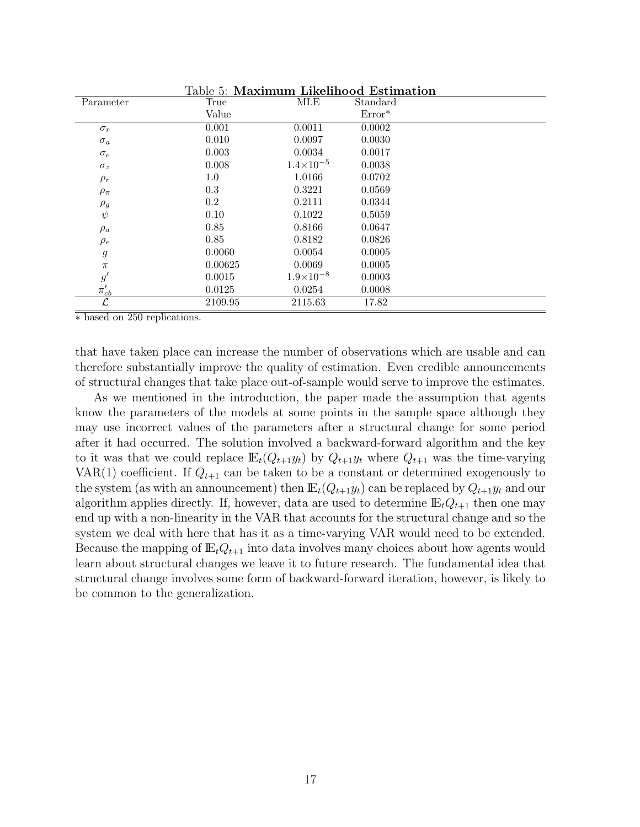| MLE<br>True<br>Parameter                                 | Standard |
|----------------------------------------------------------|----------|
| Value                                                    | $Error*$ |
| 0.001<br>0.0011<br>$\sigma_r$                            | 0.0002   |
| 0.010<br>0.0097<br>$\sigma_a$                            | 0.0030   |
| 0.003<br>0.0034<br>$\sigma_e$                            | 0.0017   |
| $1.4 \times 10^{-5}$<br>0.008<br>$\sigma_z$              | 0.0038   |
| 1.0166<br>$1.0\,$<br>$\rho_r$                            | 0.0702   |
| 0.3<br>0.3221<br>$\rho_{\pi}$                            | 0.0569   |
| $0.2\,$<br>0.2111<br>$\rho_g$                            | 0.0344   |
| 0.10<br>0.1022<br>$\psi$                                 | 0.5059   |
| 0.85<br>0.8166<br>$\rho_a$                               | 0.0647   |
| $0.85\,$<br>0.8182<br>$\rho_e$                           | 0.0826   |
| 0.0060<br>0.0054<br>$\boldsymbol{g}$                     | 0.0005   |
| 0.00625<br>0.0069<br>$\pi$                               | 0.0005   |
| $1.9 \times 10^{-8}$<br>0.0015<br>$g^{\prime}$           | 0.0003   |
| 0.0254<br>0.0125<br>$\pi'_{\underline{c} \underline{b}}$ | 0.0008   |
| L<br>2115.63<br>2109.95                                  | 17.82    |

Table 5: Maximum Likelihood Estimation

∗ based on 250 replications.

that have taken place can increase the number of observations which are usable and can therefore substantially improve the quality of estimation. Even credible announcements of structural changes that take place out-of-sample would serve to improve the estimates.

As we mentioned in the introduction, the paper made the assumption that agents know the parameters of the models at some points in the sample space although they may use incorrect values of the parameters after a structural change for some period after it had occurred. The solution involved a backward-forward algorithm and the key to it was that we could replace  $\mathbb{E}_t(Q_{t+1}y_t)$  by  $Q_{t+1}y_t$  where  $Q_{t+1}$  was the time-varying VAR(1) coefficient. If  $Q_{t+1}$  can be taken to be a constant or determined exogenously to the system (as with an announcement) then  $\mathbb{E}_{t}(Q_{t+1}y_{t})$  can be replaced by  $Q_{t+1}y_{t}$  and our algorithm applies directly. If, however, data are used to determine  $\mathbb{E}_tQ_{t+1}$  then one may end up with a non-linearity in the VAR that accounts for the structural change and so the system we deal with here that has it as a time-varying VAR would need to be extended. Because the mapping of  $\mathbb{E}_t Q_{t+1}$  into data involves many choices about how agents would learn about structural changes we leave it to future research. The fundamental idea that structural change involves some form of backward-forward iteration, however, is likely to be common to the generalization.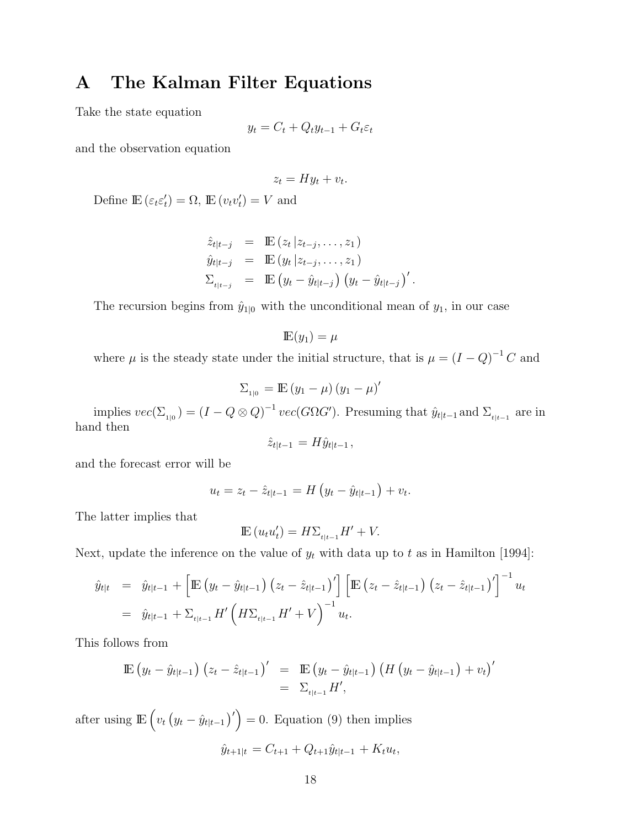## A The Kalman Filter Equations

Take the state equation

$$
y_t = C_t + Q_t y_{t-1} + G_t \varepsilon_t
$$

and the observation equation

$$
z_t = Hy_t + v_t.
$$

Define  $\mathbb{E}\left(\varepsilon_t\varepsilon_t'\right) = \Omega$ ,  $\mathbb{E}\left(v_tv_t'\right) = V$  and

$$
\hat{z}_{t|t-j} = \mathbb{E} (z_t | z_{t-j}, \dots, z_1)
$$
  
\n
$$
\hat{y}_{t|t-j} = \mathbb{E} (y_t | z_{t-j}, \dots, z_1)
$$
  
\n
$$
\Sigma_{t|t-j} = \mathbb{E} (y_t - \hat{y}_{t|t-j}) (y_t - \hat{y}_{t|t-j})'.
$$

The recursion begins from  $\hat{y}_{1|0}$  with the unconditional mean of  $y_1$ , in our case

$$
\mathop{\mathrm{I\!E}}(y_1)=\mu
$$

where  $\mu$  is the steady state under the initial structure, that is  $\mu = (I - Q)^{-1}C$  and

$$
\Sigma_{_{1|0}}=\mathop{\mathrm{I\!E}}\nolimits\left(y_{1}-\mu\right)\left(y_{1}-\mu\right)'
$$

implies  $vec(\Sigma_{1|0}) = (I - Q \otimes Q)^{-1} vec(G \Omega G')$ . Presuming that  $\hat{y}_{t|t-1}$  and  $\Sigma_{t|t-1}$  are in hand then

$$
\hat{z}_{t|t-1} = H\hat{y}_{t|t-1},
$$

and the forecast error will be

$$
u_t = z_t - \hat{z}_{t|t-1} = H\left(y_t - \hat{y}_{t|t-1}\right) + v_t.
$$

The latter implies that

$$
\mathop{\mathrm{I\!E}}\nolimits\left(u_tu_t'\right) = H\Sigma_{\scriptscriptstyle t|t-1}H' + V.
$$

Next, update the inference on the value of  $y_t$  with data up to t as in Hamilton [1994]:

$$
\hat{y}_{t|t} = \hat{y}_{t|t-1} + \left[ \mathbb{E} \left( y_t - \hat{y}_{t|t-1} \right) \left( z_t - \hat{z}_{t|t-1} \right)' \right] \left[ \mathbb{E} \left( z_t - \hat{z}_{t|t-1} \right) \left( z_t - \hat{z}_{t|t-1} \right)' \right]^{-1} u_t
$$
\n
$$
= \hat{y}_{t|t-1} + \sum_{t|t-1} H' \left( H \sum_{t|t-1} H' + V \right)^{-1} u_t.
$$

This follows from

$$
\mathbb{E} (y_t - \hat{y}_{t|t-1}) (z_t - \hat{z}_{t|t-1})' = \mathbb{E} (y_t - \hat{y}_{t|t-1}) (H (y_t - \hat{y}_{t|t-1}) + v_t)'
$$
  
=  $\Sigma_{t|t-1} H',$ 

after using  $\mathbb{E}\left(v_t\left(y_t-\hat{y}_{t|t-1}\right)'\right)=0$ . Equation (9) then implies  $\hat{y}_{t+1|t} = C_{t+1} + Q_{t+1}\hat{y}_{t|t-1} + K_t u_t,$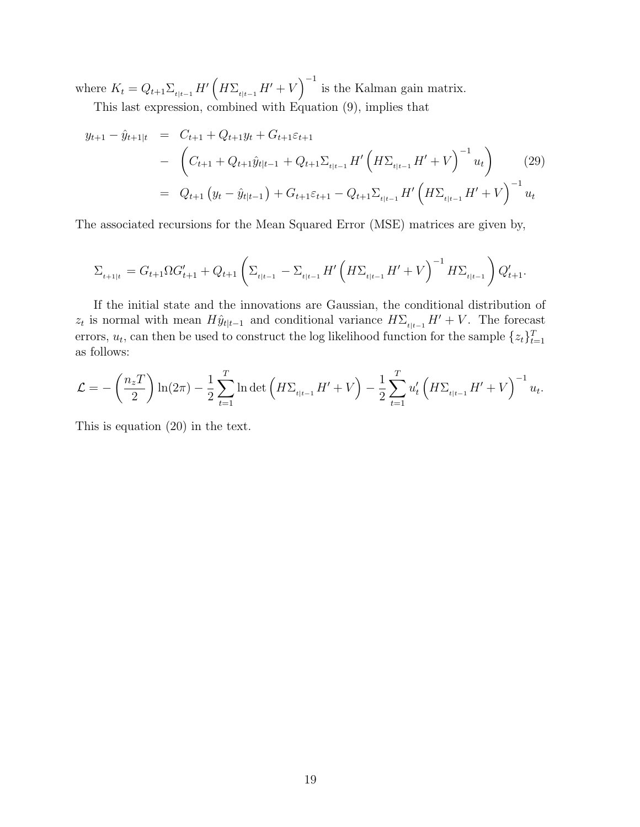where  $K_t = Q_{t+1} \Sigma_{t|t-1} H' \left( H \Sigma_{t|t-1} H' + V \right)^{-1}$  is the Kalman gain matrix.

This last expression, combined with Equation (9), implies that

$$
y_{t+1} - \hat{y}_{t+1|t} = C_{t+1} + Q_{t+1}y_t + G_{t+1}\varepsilon_{t+1}
$$
  
- 
$$
\left(C_{t+1} + Q_{t+1}\hat{y}_{t|t-1} + Q_{t+1}\Sigma_{t|t-1}H'\left(H\Sigma_{t|t-1}H' + V\right)^{-1}u_t\right)
$$
  
= 
$$
Q_{t+1}\left(y_t - \hat{y}_{t|t-1}\right) + G_{t+1}\varepsilon_{t+1} - Q_{t+1}\Sigma_{t|t-1}H'\left(H\Sigma_{t|t-1}H' + V\right)^{-1}u_t
$$
 (29)

The associated recursions for the Mean Squared Error (MSE) matrices are given by,

$$
\Sigma_{t+1|t} = G_{t+1}\Omega G'_{t+1} + Q_{t+1}\left(\Sigma_{t|t-1} - \Sigma_{t|t-1}H'\left(H\Sigma_{t|t-1}H' + V\right)^{-1}H\Sigma_{t|t-1}\right)Q'_{t+1}.
$$

If the initial state and the innovations are Gaussian, the conditional distribution of  $z_t$  is normal with mean  $H\hat{y}_{t|t-1}$  and conditional variance  $H\Sigma_{t|t-1} H' + V$ . The forecast errors,  $u_t$ , can then be used to construct the log likelihood function for the sample  $\{z_t\}_{t=1}^T$ as follows:

$$
\mathcal{L} = -\left(\frac{n_z T}{2}\right) \ln(2\pi) - \frac{1}{2} \sum_{t=1}^T \ln \det \left(H \Sigma_{t|t-1} H' + V\right) - \frac{1}{2} \sum_{t=1}^T u'_t \left(H \Sigma_{t|t-1} H' + V\right)^{-1} u_t.
$$

This is equation (20) in the text.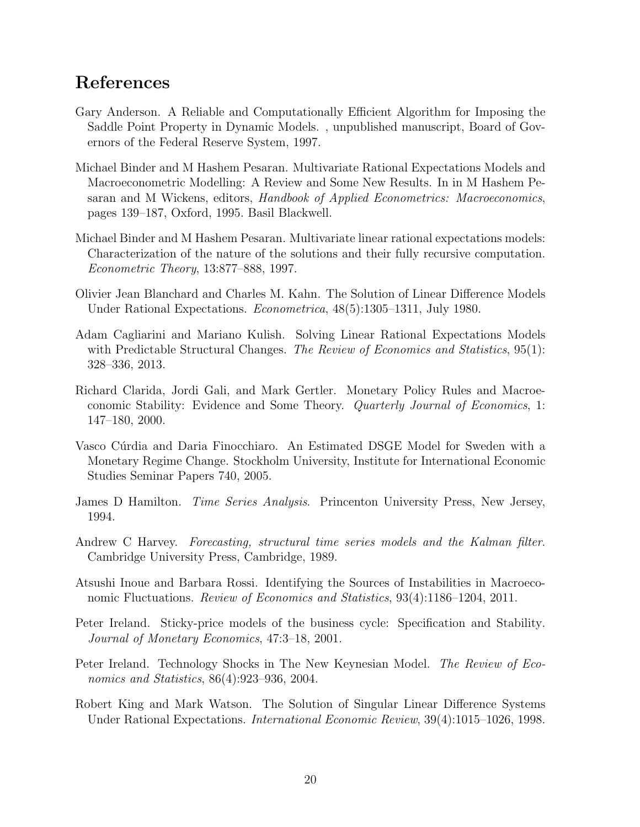## References

- Gary Anderson. A Reliable and Computationally Efficient Algorithm for Imposing the Saddle Point Property in Dynamic Models. , unpublished manuscript, Board of Governors of the Federal Reserve System, 1997.
- Michael Binder and M Hashem Pesaran. Multivariate Rational Expectations Models and Macroeconometric Modelling: A Review and Some New Results. In in M Hashem Pesaran and M Wickens, editors, Handbook of Applied Econometrics: Macroeconomics, pages 139–187, Oxford, 1995. Basil Blackwell.
- Michael Binder and M Hashem Pesaran. Multivariate linear rational expectations models: Characterization of the nature of the solutions and their fully recursive computation. Econometric Theory, 13:877–888, 1997.
- Olivier Jean Blanchard and Charles M. Kahn. The Solution of Linear Difference Models Under Rational Expectations. Econometrica, 48(5):1305–1311, July 1980.
- Adam Cagliarini and Mariano Kulish. Solving Linear Rational Expectations Models with Predictable Structural Changes. The Review of Economics and Statistics, 95(1): 328–336, 2013.
- Richard Clarida, Jordi Gali, and Mark Gertler. Monetary Policy Rules and Macroeconomic Stability: Evidence and Some Theory. Quarterly Journal of Economics, 1: 147–180, 2000.
- Vasco Cúrdia and Daria Finocchiaro. An Estimated DSGE Model for Sweden with a Monetary Regime Change. Stockholm University, Institute for International Economic Studies Seminar Papers 740, 2005.
- James D Hamilton. *Time Series Analysis*. Princenton University Press, New Jersey, 1994.
- Andrew C Harvey. Forecasting, structural time series models and the Kalman filter. Cambridge University Press, Cambridge, 1989.
- Atsushi Inoue and Barbara Rossi. Identifying the Sources of Instabilities in Macroeconomic Fluctuations. Review of Economics and Statistics, 93(4):1186–1204, 2011.
- Peter Ireland. Sticky-price models of the business cycle: Specification and Stability. Journal of Monetary Economics, 47:3–18, 2001.
- Peter Ireland. Technology Shocks in The New Keynesian Model. The Review of Economics and Statistics, 86(4):923–936, 2004.
- Robert King and Mark Watson. The Solution of Singular Linear Difference Systems Under Rational Expectations. International Economic Review, 39(4):1015–1026, 1998.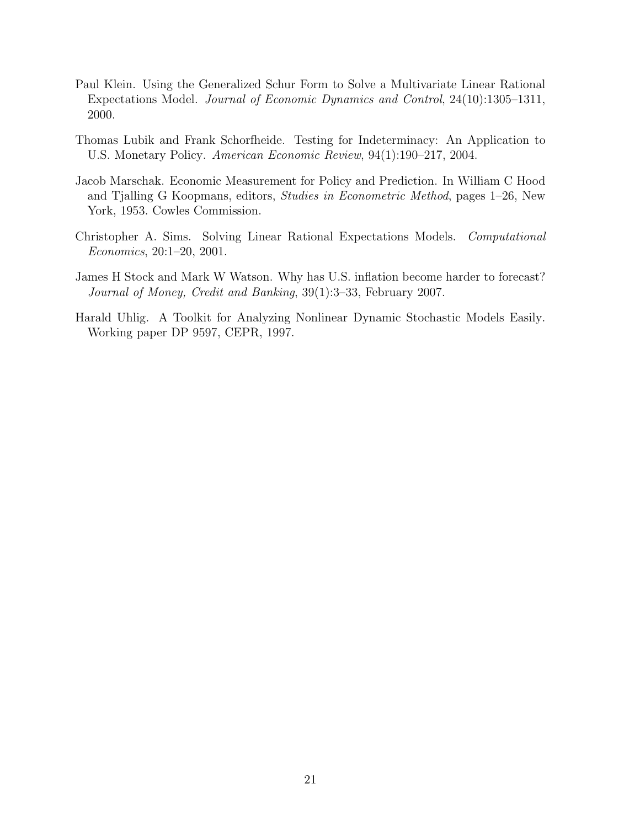- Paul Klein. Using the Generalized Schur Form to Solve a Multivariate Linear Rational Expectations Model. Journal of Economic Dynamics and Control, 24(10):1305–1311, 2000.
- Thomas Lubik and Frank Schorfheide. Testing for Indeterminacy: An Application to U.S. Monetary Policy. American Economic Review, 94(1):190–217, 2004.
- Jacob Marschak. Economic Measurement for Policy and Prediction. In William C Hood and Tjalling G Koopmans, editors, Studies in Econometric Method, pages 1–26, New York, 1953. Cowles Commission.
- Christopher A. Sims. Solving Linear Rational Expectations Models. Computational Economics, 20:1–20, 2001.
- James H Stock and Mark W Watson. Why has U.S. inflation become harder to forecast? Journal of Money, Credit and Banking, 39(1):3–33, February 2007.
- Harald Uhlig. A Toolkit for Analyzing Nonlinear Dynamic Stochastic Models Easily. Working paper DP 9597, CEPR, 1997.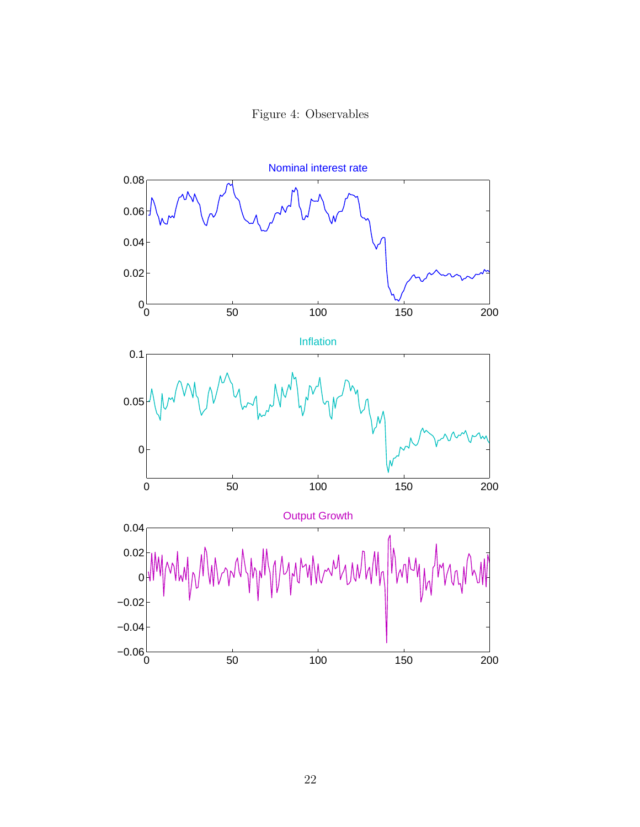Figure 4: Observables

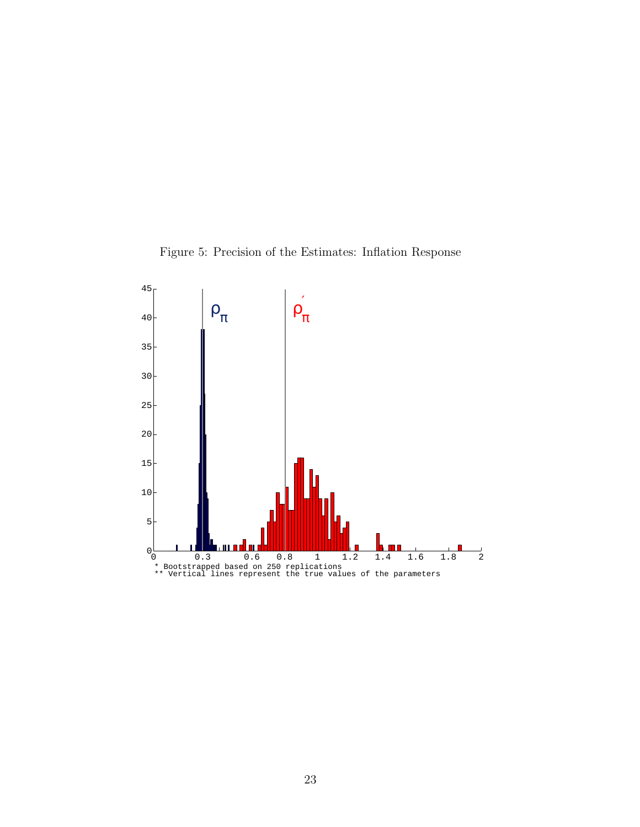

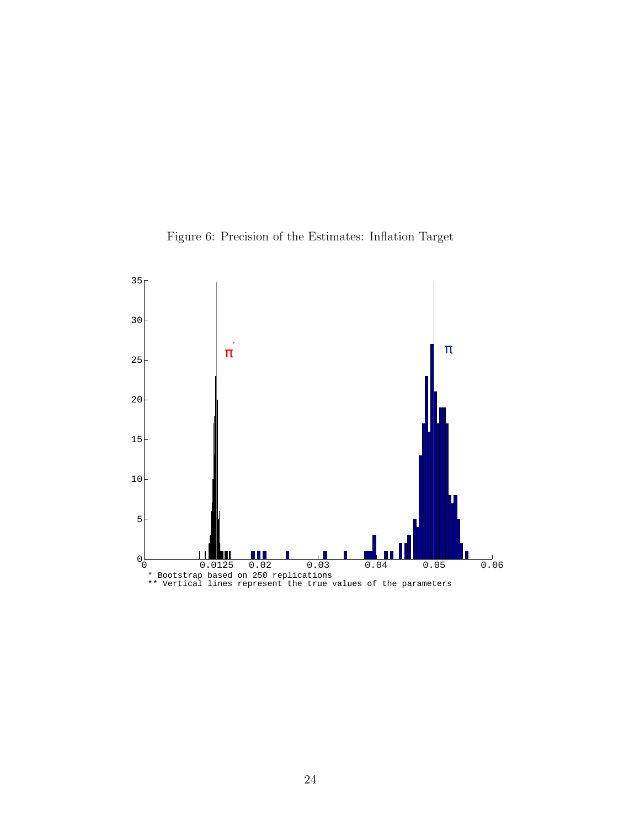

Figure 6: Precision of the Estimates: Inflation Target